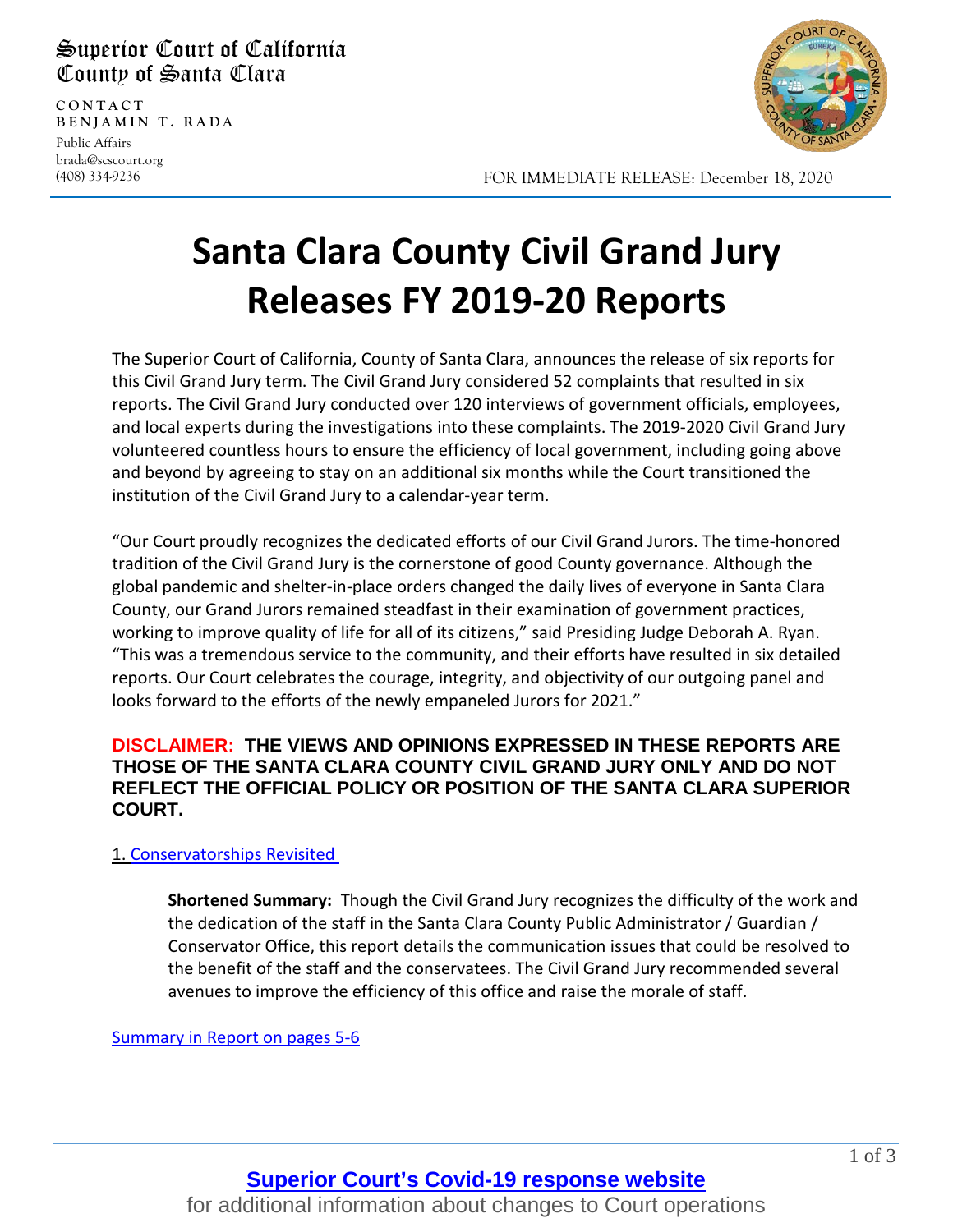## Superior Court of California County of Santa Clara

**CONTAC T BENJAMIN T. RADA** Public Affairs brada@scscourt.org

(408) 334-9236

l



FOR IMMEDIATE RELEASE: December 18, 2020

# **Santa Clara County Civil Grand Jury Releases FY 2019-20 Reports**

The Superior Court of California, County of Santa Clara, announces the release of six reports for this Civil Grand Jury term. The Civil Grand Jury considered 52 complaints that resulted in six reports. The Civil Grand Jury conducted over 120 interviews of government officials, employees, and local experts during the investigations into these complaints. The 2019-2020 Civil Grand Jury volunteered countless hours to ensure the efficiency of local government, including going above and beyond by agreeing to stay on an additional six months while the Court transitioned the institution of the Civil Grand Jury to a calendar-year term.

"Our Court proudly recognizes the dedicated efforts of our Civil Grand Jurors. The time-honored tradition of the Civil Grand Jury is the cornerstone of good County governance. Although the global pandemic and shelter-in-place orders changed the daily lives of everyone in Santa Clara County, our Grand Jurors remained steadfast in their examination of government practices, working to improve quality of life for all of its citizens," said Presiding Judge Deborah A. Ryan. "This was a tremendous service to the community, and their efforts have resulted in six detailed reports. Our Court celebrates the courage, integrity, and objectivity of our outgoing panel and looks forward to the efforts of the newly empaneled Jurors for 2021."

#### **DISCLAIMER: THE VIEWS AND OPINIONS EXPRESSED IN THESE REPORTS ARE THOSE OF THE SANTA CLARA COUNTY CIVIL GRAND JURY ONLY AND DO NOT REFLECT THE OFFICIAL POLICY OR POSITION OF THE SANTA CLARA SUPERIOR COURT.**

#### 1. [Conservatorships Revisited](https://www.scscourt.org/court_divisions/civil/cgj/2020/Conservatorships%20Revisited%20-%20Signed%20Report.pdf)

**Shortened Summary:** Though the Civil Grand Jury recognizes the difficulty of the work and the dedication of the staff in the Santa Clara County Public Administrator / Guardian / Conservator Office, this report details the communication issues that could be resolved to the benefit of the staff and the conservatees. The Civil Grand Jury recommended several avenues to improve the efficiency of this office and raise the morale of staff.

[Summary in Report on pages 5-6](https://www.scscourt.org/court_divisions/civil/cgj/2020/Conservatorships%20Revisited%20-%20Signed%20Report.pdf)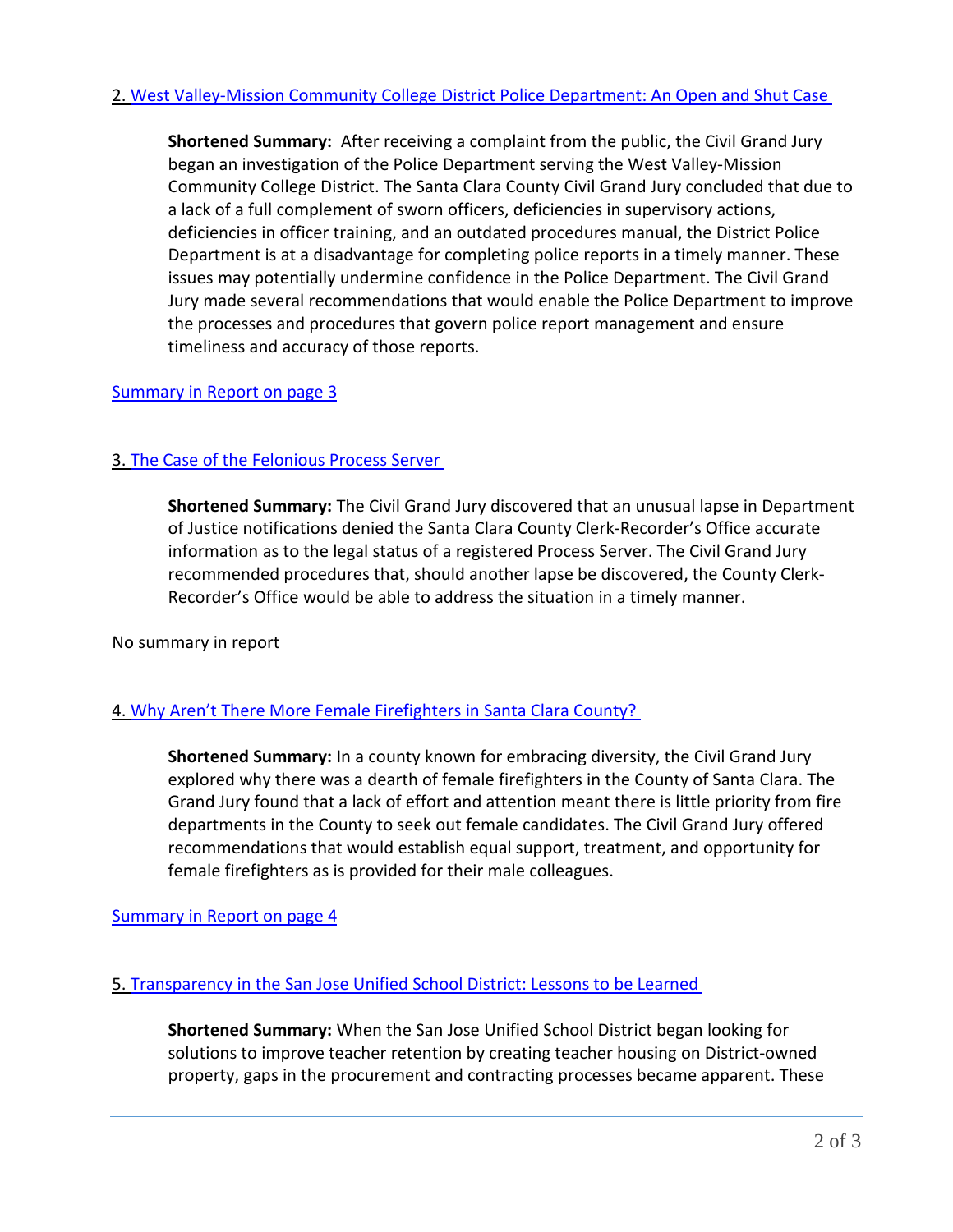**Shortened Summary:** After receiving a complaint from the public, the Civil Grand Jury began an investigation of the Police Department serving the West Valley-Mission Community College District. The Santa Clara County Civil Grand Jury concluded that due to a lack of a full complement of sworn officers, deficiencies in supervisory actions, deficiencies in officer training, and an outdated procedures manual, the District Police Department is at a disadvantage for completing police reports in a timely manner. These issues may potentially undermine confidence in the Police Department. The Civil Grand Jury made several recommendations that would enable the Police Department to improve the processes and procedures that govern police report management and ensure timeliness and accuracy of those reports.

#### [Summary in Report on page 3](https://www.scscourt.org/court_divisions/civil/cgj/2020/West%20Valley-Mission%20Community%20College%20District%20Police%20Department.pdf)

### 3. [The Case of the Felonious Process Server](https://www.scscourt.org/court_divisions/civil/cgj/2020/The%20Case%20of%20the%20Felonious%20Process%20Server.pdf)

**Shortened Summary:** The Civil Grand Jury discovered that an unusual lapse in Department of Justice notifications denied the Santa Clara County Clerk-Recorder's Office accurate information as to the legal status of a registered Process Server. The Civil Grand Jury recommended procedures that, should another lapse be discovered, the County Clerk-Recorder's Office would be able to address the situation in a timely manner.

No summary in report

#### 4. [Why Aren't There More Female Firefighters in Santa Clara County?](https://www.scscourt.org/court_divisions/civil/cgj/2020/Why%20Arent%20There%20More%20Female%20Firefighters%20in%20Santa%20Clara%20County.pdf)

**Shortened Summary:** In a county known for embracing diversity, the Civil Grand Jury explored why there was a dearth of female firefighters in the County of Santa Clara. The Grand Jury found that a lack of effort and attention meant there is little priority from fire departments in the County to seek out female candidates. The Civil Grand Jury offered recommendations that would establish equal support, treatment, and opportunity for female firefighters as is provided for their male colleagues.

#### Summary in [Report on page 4](https://www.scscourt.org/court_divisions/civil/cgj/2020/Why%20Arent%20There%20More%20Female%20Firefighters%20in%20Santa%20Clara%20County.pdf)

#### 5. [Transparency in the San Jose Unified School District: Lessons to be Learned](https://www.scscourt.org/court_divisions/civil/cgj/2020/Transparency%20in%20the%20SJUSD%20-%20Lessons%20to%20be%20Learned.pdf)

**Shortened Summary:** When the San Jose Unified School District began looking for solutions to improve teacher retention by creating teacher housing on District-owned property, gaps in the procurement and contracting processes became apparent. These